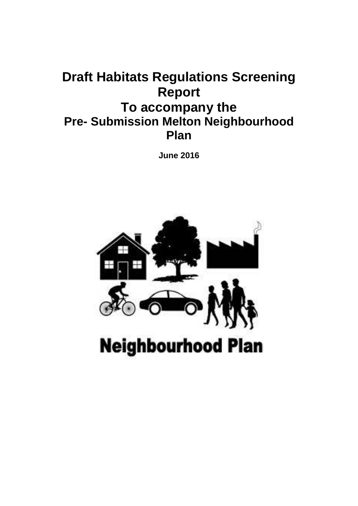# **Draft Habitats Regulations Screening Report To accompany the Pre- Submission Melton Neighbourhood Plan**

**June 2016**

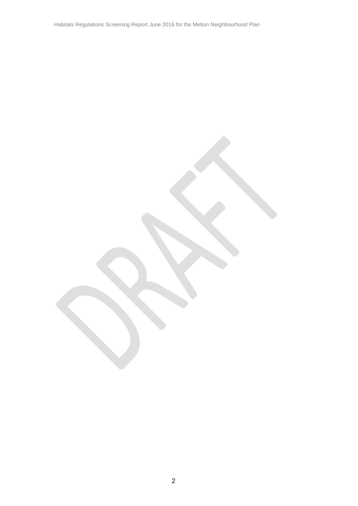Habitats Regulations Screening Report June 2016 for the Melton Neighbourhood Plan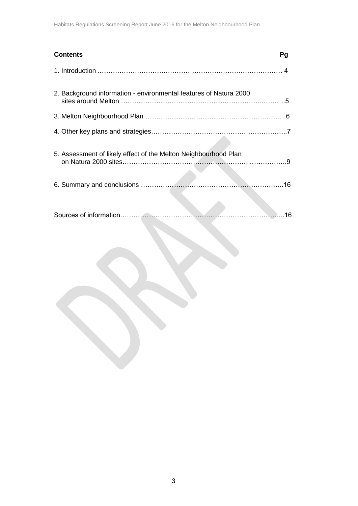| <b>Contents</b>                                                   | Pg |
|-------------------------------------------------------------------|----|
|                                                                   |    |
| 2. Background information - environmental features of Natura 2000 |    |
|                                                                   |    |
|                                                                   |    |
| 5. Assessment of likely effect of the Melton Neighbourhood Plan   |    |
|                                                                   |    |
|                                                                   | 16 |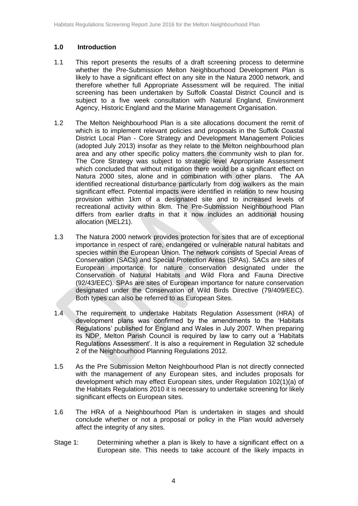#### **1.0 Introduction**

- 1.1 This report presents the results of a draft screening process to determine whether the Pre-Submission Melton Neighbourhood Development Plan is likely to have a significant effect on any site in the Natura 2000 network, and therefore whether full Appropriate Assessment will be required. The initial screening has been undertaken by Suffolk Coastal District Council and is subject to a five week consultation with Natural England, Environment Agency, Historic England and the Marine Management Organisation.
- 1.2 The Melton Neighbourhood Plan is a site allocations document the remit of which is to implement relevant policies and proposals in the Suffolk Coastal District Local Plan - Core Strategy and Development Management Policies (adopted July 2013) insofar as they relate to the Melton neighbourhood plan area and any other specific policy matters the community wish to plan for. The Core Strategy was subject to strategic level Appropriate Assessment which concluded that without mitigation there would be a significant effect on Natura 2000 sites, alone and in combination with other plans. The AA identified recreational disturbance particularly from dog walkers as the main significant effect. Potential impacts were identified in relation to new housing provision within 1km of a designated site and to increased levels of recreational activity within 8km. The Pre-Submission Neighbourhood Plan differs from earlier drafts in that it now includes an additional housing allocation (MEL21).
- 1.3 The Natura 2000 network provides protection for sites that are of exceptional importance in respect of rare, endangered or vulnerable natural habitats and species within the European Union. The network consists of Special Areas of Conservation (SACs) and Special Protection Areas (SPAs). SACs are sites of European importance for nature conservation designated under the Conservation of Natural Habitats and Wild Flora and Fauna Directive (92/43/EEC). SPAs are sites of European importance for nature conservation designated under the Conservation of Wild Birds Directive (79/409/EEC). Both types can also be referred to as European Sites.
- 1.4 The requirement to undertake Habitats Regulation Assessment (HRA) of development plans was confirmed by the amendments to the 'Habitats Regulations' published for England and Wales in July 2007. When preparing its NDP, Melton Parish Council is required by law to carry out a 'Habitats Regulations Assessment'. It is also a requirement in Regulation 32 schedule 2 of the Neighbourhood Planning Regulations 2012.
- 1.5 As the Pre Submission Melton Neighbourhood Plan is not directly connected with the management of any European sites, and includes proposals for development which may effect European sites, under Regulation 102(1)(a) of the Habitats Regulations 2010 it is necessary to undertake screening for likely significant effects on European sites.
- 1.6 The HRA of a Neighbourhood Plan is undertaken in stages and should conclude whether or not a proposal or policy in the Plan would adversely affect the integrity of any sites.
- Stage 1: Determining whether a plan is likely to have a significant effect on a European site. This needs to take account of the likely impacts in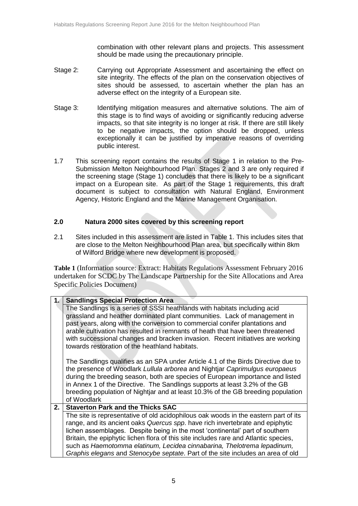combination with other relevant plans and projects. This assessment should be made using the precautionary principle.

- Stage 2: Carrying out Appropriate Assessment and ascertaining the effect on site integrity. The effects of the plan on the conservation objectives of sites should be assessed, to ascertain whether the plan has an adverse effect on the integrity of a European site.
- Stage 3: Identifying mitigation measures and alternative solutions. The aim of this stage is to find ways of avoiding or significantly reducing adverse impacts, so that site integrity is no longer at risk. If there are still likely to be negative impacts, the option should be dropped, unless exceptionally it can be justified by imperative reasons of overriding public interest.
- 1.7 This screening report contains the results of Stage 1 in relation to the Pre-Submission Melton Neighbourhood Plan. Stages 2 and 3 are only required if the screening stage (Stage 1) concludes that there is likely to be a significant impact on a European site. As part of the Stage 1 requirements, this draft document is subject to consultation with Natural England, Environment Agency, Historic England and the Marine Management Organisation.

#### **2.0 Natura 2000 sites covered by this screening report**

2.1 Sites included in this assessment are listed in Table 1. This includes sites that are close to the Melton Neighbourhood Plan area, but specifically within 8km of Wilford Bridge where new development is proposed.

**Table 1** (Information source: Extract: Habitats Regulations Assessment February 2016 undertaken for SCDC by The Landscape Partnership for the Site Allocations and Area Specific Policies Document)

| 1. | <b>Sandlings Special Protection Area</b>                                                                                         |  |  |  |
|----|----------------------------------------------------------------------------------------------------------------------------------|--|--|--|
|    | The Sandlings is a series of SSSI heathlands with habitats including acid                                                        |  |  |  |
|    | grassland and heather dominated plant communities. Lack of management in                                                         |  |  |  |
|    | past years, along with the conversion to commercial conifer plantations and                                                      |  |  |  |
|    | arable cultivation has resulted in remnants of heath that have been threatened                                                   |  |  |  |
|    | with successional changes and bracken invasion. Recent initiatives are working<br>towards restoration of the heathland habitats. |  |  |  |
|    |                                                                                                                                  |  |  |  |
|    | The Sandlings qualifies as an SPA under Article 4.1 of the Birds Directive due to                                                |  |  |  |
|    | the presence of Woodlark Lullula arborea and Nightjar Caprimulgus europaeus                                                      |  |  |  |
|    | during the breeding season, both are species of European importance and listed                                                   |  |  |  |
|    | in Annex 1 of the Directive. The Sandlings supports at least 3.2% of the GB                                                      |  |  |  |
|    | breeding population of Nightjar and at least 10.3% of the GB breeding population                                                 |  |  |  |
|    | of Woodlark                                                                                                                      |  |  |  |
| 2. | <b>Staverton Park and the Thicks SAC</b>                                                                                         |  |  |  |
|    | The site is representative of old acidophilous oak woods in the eastern part of its                                              |  |  |  |
|    | range, and its ancient oaks Quercus spp. have rich invertebrate and epiphytic                                                    |  |  |  |
|    | lichen assemblages. Despite being in the most 'continental' part of southern                                                     |  |  |  |
|    | Britain, the epiphytic lichen flora of this site includes rare and Atlantic species,                                             |  |  |  |
|    | such as Haemotomma elatinum, Lecidea cinnabarina, Thelotrema lepadinum,                                                          |  |  |  |
|    | Graphis elegans and Stenocybe septate. Part of the site includes an area of old                                                  |  |  |  |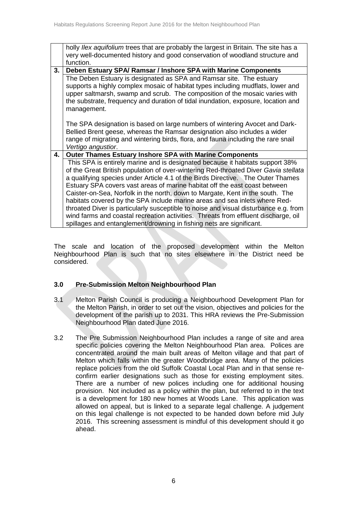holly *Ilex aquifolium* trees that are probably the largest in Britain. The site has a very well-documented history and good conservation of woodland structure and function. **3. Deben Estuary SPA/ Ramsar / Inshore SPA with Marine Components** The Deben Estuary is designated as SPA and Ramsar site. The estuary supports a highly complex mosaic of habitat types including mudflats, lower and upper saltmarsh, swamp and scrub. The composition of the mosaic varies with the substrate, frequency and duration of tidal inundation, exposure, location and management. The SPA designation is based on large numbers of wintering Avocet and Dark-Bellied Brent geese, whereas the Ramsar designation also includes a wider range of migrating and wintering birds, flora, and fauna including the rare snail *Vertigo angustior*. **4. Outer Thames Estuary Inshore SPA with Marine Components** This SPA is entirely marine and is designated because it habitats support 38% of the Great British population of over-wintering Red-throated Diver *Gavia stellata*  a qualifying species under Article 4.1 of the Birds Directive. The Outer Thames Estuary SPA covers vast areas of marine habitat off the east coast between Caister-on-Sea, Norfolk in the north, down to Margate, Kent in the south. The habitats covered by the SPA include marine areas and sea inlets where Redthroated Diver is particularly susceptible to noise and visual disturbance e.g. from wind farms and coastal recreation activities. Threats from effluent discharge, oil spillages and entanglement/drowning in fishing nets are significant.

The scale and location of the proposed development within the Melton Neighbourhood Plan is such that no sites elsewhere in the District need be considered.

### **3.0 Pre-Submission Melton Neighbourhood Plan**

- 3.1 Melton Parish Council is producing a Neighbourhood Development Plan for the Melton Parish, in order to set out the vision, objectives and policies for the development of the parish up to 2031. This HRA reviews the Pre-Submission Neighbourhood Plan dated June 2016.
- 3.2 The Pre Submission Neighbourhood Plan includes a range of site and area specific policies covering the Melton Neighbourhood Plan area. Polices are concentrated around the main built areas of Melton village and that part of Melton which falls within the greater Woodbridge area. Many of the policies replace policies from the old Suffolk Coastal Local Plan and in that sense reconfirm earlier designations such as those for existing employment sites. There are a number of new polices including one for additional housing provision. Not included as a policy within the plan, but referred to in the text is a development for 180 new homes at Woods Lane. This application was allowed on appeal, but is linked to a separate legal challenge. A judgement on this legal challenge is not expected to be handed down before mid July 2016. This screening assessment is mindful of this development should it go ahead.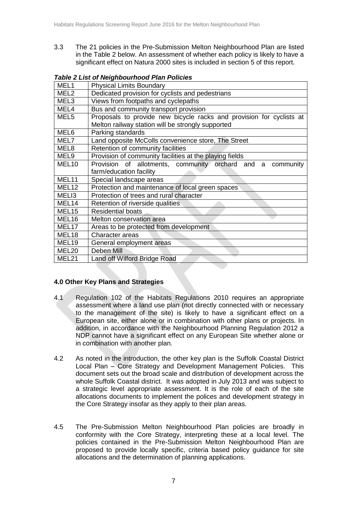3.3 The 21 policies in the Pre-Submission Melton Neighbourhood Plan are listed in the Table 2 below. An assessment of whether each policy is likely to have a significant effect on Natura 2000 sites is included in section 5 of this report.

| MEL <sub>1</sub>  | <b>Physical Limits Boundary</b>                                                                                           |
|-------------------|---------------------------------------------------------------------------------------------------------------------------|
| MEL <sub>2</sub>  | Dedicated provision for cyclists and pedestrians                                                                          |
| MEL <sub>3</sub>  | Views from footpaths and cyclepaths                                                                                       |
| MEL4              | Bus and community transport provision                                                                                     |
| MEL <sub>5</sub>  | Proposals to provide new bicycle racks and provision for cyclists at<br>Melton railway station will be strongly supported |
| MEL6              | Parking standards                                                                                                         |
| MEL7              | Land opposite McColls convenience store, The Street                                                                       |
| MEL <sub>8</sub>  | Retention of community facilities                                                                                         |
| MEL <sub>9</sub>  | Provision of community facilities at the playing fields                                                                   |
| MEL <sub>10</sub> | Provision of allotments, community orchard and a<br>community                                                             |
|                   | farm/education facility                                                                                                   |
| MEL11             | Special landscape areas                                                                                                   |
| MEL12             | Protection and maintenance of local green spaces                                                                          |
| MEL <sub>13</sub> | Protection of trees and rural character                                                                                   |
| MEL <sub>14</sub> | Retention of riverside qualities                                                                                          |
| MEL <sub>15</sub> | <b>Residential boats</b>                                                                                                  |
| MEL16             | Melton conservation area                                                                                                  |
| MEL17             | Areas to be protected from development                                                                                    |
| MEL <sub>18</sub> | Character areas                                                                                                           |
| MEL <sub>19</sub> | General employment areas                                                                                                  |
| MEL20             | Deben Mill                                                                                                                |
| MEL21             | Land off Wilford Bridge Road                                                                                              |

## *Table 2 List of Neighbourhood Plan Policies*

## **4.0 Other Key Plans and Strategies**

- 4.1 Regulation 102 of the Habitats Regulations 2010 requires an appropriate assessment where a land use plan (not directly connected with or necessary to the management of the site) is likely to have a significant effect on a European site, either alone or in combination with other plans or projects. In addition, in accordance with the Neighbourhood Planning Regulation 2012 a NDP cannot have a significant effect on any European Site whether alone or in combination with another plan.
- 4.2 As noted in the introduction, the other key plan is the Suffolk Coastal District Local Plan – Core Strategy and Development Management Policies. This document sets out the broad scale and distribution of development across the whole Suffolk Coastal district. It was adopted in July 2013 and was subject to a strategic level appropriate assessment. It is the role of each of the site allocations documents to implement the polices and development strategy in the Core Strategy insofar as they apply to their plan areas.
- 4.5 The Pre-Submission Melton Neighbourhood Plan policies are broadly in conformity with the Core Strategy, interpreting these at a local level. The policies contained in the Pre-Submission Melton Neighbourhood Plan are proposed to provide locally specific, criteria based policy guidance for site allocations and the determination of planning applications.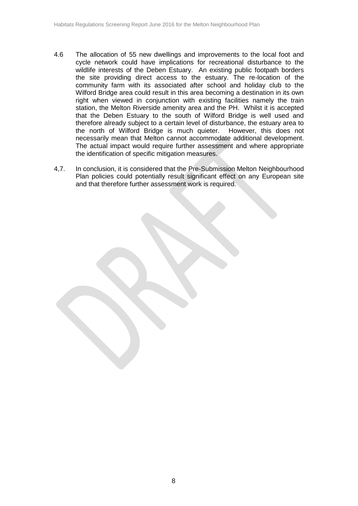- 4.6 The allocation of 55 new dwellings and improvements to the local foot and cycle network could have implications for recreational disturbance to the wildlife interests of the Deben Estuary. An existing public footpath borders the site providing direct access to the estuary. The re-location of the community farm with its associated after school and holiday club to the Wilford Bridge area could result in this area becoming a destination in its own right when viewed in conjunction with existing facilities namely the train station, the Melton Riverside amenity area and the PH. Whilst it is accepted that the Deben Estuary to the south of Wilford Bridge is well used and therefore already subject to a certain level of disturbance, the estuary area to the north of Wilford Bridge is much quieter. However, this does not necessarily mean that Melton cannot accommodate additional development. The actual impact would require further assessment and where appropriate the identification of specific mitigation measures.
- 4,7. In conclusion, it is considered that the Pre-Submission Melton Neighbourhood Plan policies could potentially result significant effect on any European site and that therefore further assessment work is required.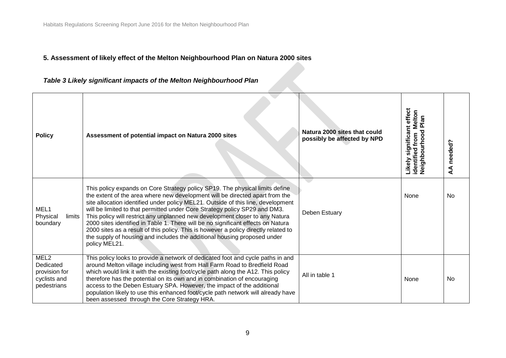# **5. Assessment of likely effect of the Melton Neighbourhood Plan on Natura 2000 sites**

# *Table 3 Likely significant impacts of the Melton Neighbourhood Plan*

| <b>Policy</b>                                                                 | Assessment of potential impact on Natura 2000 sites                                                                                                                                                                                                                                                                                                                                                                                                                                                                                                                                                                                                                                    | Natura 2000 sites that could<br>possibly be affected by NPD | Likely significant effect<br>identified from Melton<br>Neighbourhood Plan | needed?<br>₹ |
|-------------------------------------------------------------------------------|----------------------------------------------------------------------------------------------------------------------------------------------------------------------------------------------------------------------------------------------------------------------------------------------------------------------------------------------------------------------------------------------------------------------------------------------------------------------------------------------------------------------------------------------------------------------------------------------------------------------------------------------------------------------------------------|-------------------------------------------------------------|---------------------------------------------------------------------------|--------------|
| MEL1<br>Physical<br>limits<br>boundary                                        | This policy expands on Core Strategy policy SP19. The physical limits define<br>the extent of the area where new development will be directed apart from the<br>site allocation identified under policy MEL21. Outside of this line, development<br>will be limited to that permitted under Core Strategy policy SP29 and DM3.<br>This policy will restrict any unplanned new development closer to any Natura<br>2000 sites identified in Table 1. There will be no significant effects on Natura<br>2000 sites as a result of this policy. This is however a policy directly related to<br>the supply of housing and includes the additional housing proposed under<br>policy MEL21. | Deben Estuary                                               | None                                                                      | No           |
| MEL <sub>2</sub><br>Dedicated<br>provision for<br>cyclists and<br>pedestrians | This policy looks to provide a network of dedicated foot and cycle paths in and<br>around Melton village including west from Hall Farm Road to Bredfield Road<br>which would link it with the existing foot/cycle path along the A12. This policy<br>therefore has the potential on its own and in combination of encouraging<br>access to the Deben Estuary SPA. However, the impact of the additional<br>population likely to use this enhanced foot/cycle path network will already have<br>been assessed through the Core Strategy HRA.                                                                                                                                            | All in table 1                                              | None                                                                      | <b>No</b>    |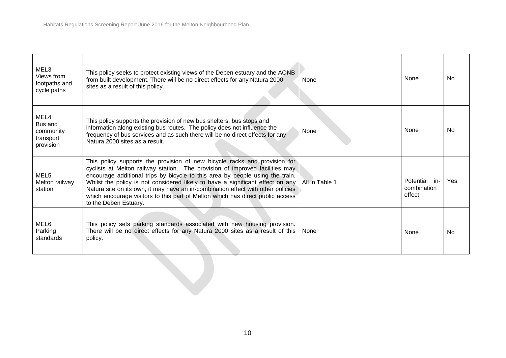| MEL3<br>Views from<br>footpaths and<br>cycle paths     | This policy seeks to protect existing views of the Deben estuary and the AONB<br>from built development. There will be no direct effects for any Natura 2000<br>sites as a result of this policy.                                                                                                                                                                                                                                                                                                                           | None           | None                                   | <b>No</b>  |
|--------------------------------------------------------|-----------------------------------------------------------------------------------------------------------------------------------------------------------------------------------------------------------------------------------------------------------------------------------------------------------------------------------------------------------------------------------------------------------------------------------------------------------------------------------------------------------------------------|----------------|----------------------------------------|------------|
| MEL4<br>Bus and<br>community<br>transport<br>provision | This policy supports the provision of new bus shelters, bus stops and<br>information along existing bus routes. The policy does not influence the<br>frequency of bus services and as such there will be no direct effects for any<br>Natura 2000 sites as a result.                                                                                                                                                                                                                                                        | None           | None                                   | <b>No</b>  |
| MEL <sub>5</sub><br>Melton railway<br>station          | This policy supports the provision of new bicycle racks and provision for<br>cyclists at Melton railway station. The provision of improved facilities may<br>encourage additional trips by bicycle to this area by people using the train.<br>Whilst the policy is not considered likely to have a significant effect on any<br>Natura site on its own, it may have an in-combination effect with other policies<br>which encourage visitors to this part of Melton which has direct public access<br>to the Deben Estuary. | All in Table 1 | Potential in-<br>combination<br>effect | <b>Yes</b> |
| MEL6<br>Parking<br>standards                           | This policy sets parking standards associated with new housing provision.<br>There will be no direct effects for any Natura 2000 sites as a result of this<br>policy.                                                                                                                                                                                                                                                                                                                                                       | None           | None                                   | <b>No</b>  |
|                                                        |                                                                                                                                                                                                                                                                                                                                                                                                                                                                                                                             |                |                                        |            |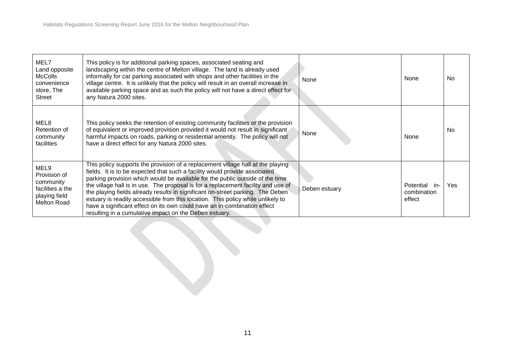| MEL7<br>Land opposite<br><b>McColls</b><br>convenience<br>store, The<br><b>Street</b> | This policy is for additional parking spaces, associated seating and<br>landscaping within the centre of Melton village. The land is already used<br>informally for car parking associated with shops and other facilities in the<br>village centre. It is unlikely that the policy will result in an overall increase in<br>available parking space and as such the policy will not have a direct effect for<br>any Natura 2000 sites.                                                                                                                                                                                                        | None          | None                                       | No.       |
|---------------------------------------------------------------------------------------|------------------------------------------------------------------------------------------------------------------------------------------------------------------------------------------------------------------------------------------------------------------------------------------------------------------------------------------------------------------------------------------------------------------------------------------------------------------------------------------------------------------------------------------------------------------------------------------------------------------------------------------------|---------------|--------------------------------------------|-----------|
| MEL8<br>Retention of<br>community<br>facilities                                       | This policy seeks the retention of existing community facilities or the provision<br>of equivalent or improved provision provided it would not result in significant<br>harmful impacts on roads, parking or residential amenity. The policy will not<br>have a direct effect for any Natura 2000 sites.                                                                                                                                                                                                                                                                                                                                       | None          | None                                       | <b>No</b> |
| MEL9<br>Provision of<br>community<br>facilities a the<br>playing field<br>Melton Road | This policy supports the provision of a replacement village hall at the playing<br>fields. It is to be expected that such a facility would provide associated<br>parking provision which would be available for the public outside of the time<br>the village hall is in use. The proposal is for a replacement facility and use of<br>the playing fields already results in significant on-street parking. The Deben<br>estuary is readily accessible from this location. This policy while unlikely to<br>have a significant effect on its own could have an in-combination effect<br>resulting in a cumulative impact on the Deben estuary. | Deben estuary | Potential<br>-in-<br>combination<br>effect | Yes       |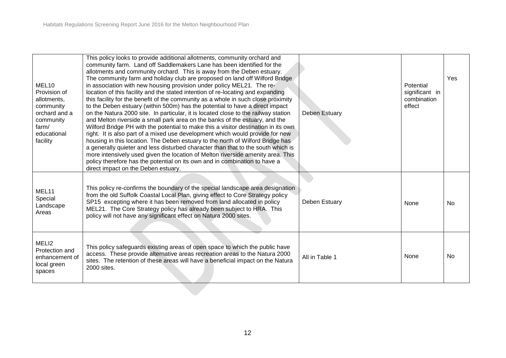| MEL <sub>10</sub><br>Provision of<br>allotments,<br>community<br>orchard and a<br>community<br>farm/<br>educational<br>facility | This policy looks to provide additional allotments, community orchard and<br>community farm. Land off Saddlemakers Lane has been identified for the<br>allotments and community orchard. This is away from the Deben estuary.<br>The community farm and holiday club are proposed on land off Wilford Bridge<br>in association with new housing provision under policy MEL21. The re-<br>location of this facility and the stated intention of re-locating and expanding<br>this facility for the benefit of the community as a whole in such close proximity<br>to the Deben estuary (within 500m) has the potential to have a direct impact<br>on the Natura 2000 site. In particular, it is located close to the railway station<br>and Melton riverside a small park area on the banks of the estuary, and the<br>Wilford Bridge PH with the potential to make this a visitor destination in its own<br>right. It is also part of a mixed use development which would provide for new<br>housing in this location. The Deben estuary to the north of Wilford Bridge has<br>a generally quieter and less disturbed character than that to the south which is<br>more intensively used given the location of Melton riverside amenity area. This<br>policy therefore has the potential on its own and in combination to have a<br>direct impact on the Deben estuary. | Deben Estuary  | Potential<br>significant in<br>combination<br>effect | Yes       |
|---------------------------------------------------------------------------------------------------------------------------------|-------------------------------------------------------------------------------------------------------------------------------------------------------------------------------------------------------------------------------------------------------------------------------------------------------------------------------------------------------------------------------------------------------------------------------------------------------------------------------------------------------------------------------------------------------------------------------------------------------------------------------------------------------------------------------------------------------------------------------------------------------------------------------------------------------------------------------------------------------------------------------------------------------------------------------------------------------------------------------------------------------------------------------------------------------------------------------------------------------------------------------------------------------------------------------------------------------------------------------------------------------------------------------------------------------------------------------------------------------------------------|----------------|------------------------------------------------------|-----------|
| MEL11<br>Special<br>Landscape<br>Areas                                                                                          | This policy re-confirms the boundary of the special landscape area designation<br>from the old Suffolk Coastal Local Plan, giving effect to Core Strategy policy<br>SP15 excepting where it has been removed from land allocated in policy<br>MEL21. The Core Strategy policy has already been subject to HRA. This<br>policy will not have any significant effect on Natura 2000 sites.                                                                                                                                                                                                                                                                                                                                                                                                                                                                                                                                                                                                                                                                                                                                                                                                                                                                                                                                                                                | Deben Estuary  | None                                                 | <b>No</b> |
| MELI2<br>Protection and<br>enhancement of<br>local green<br>spaces                                                              | This policy safeguards existing areas of open space to which the public have<br>access. These provide alternative areas recreation areas to the Natura 2000<br>sites. The retention of these areas will have a beneficial impact on the Natura<br>2000 sites.                                                                                                                                                                                                                                                                                                                                                                                                                                                                                                                                                                                                                                                                                                                                                                                                                                                                                                                                                                                                                                                                                                           | All in Table 1 | None                                                 | <b>No</b> |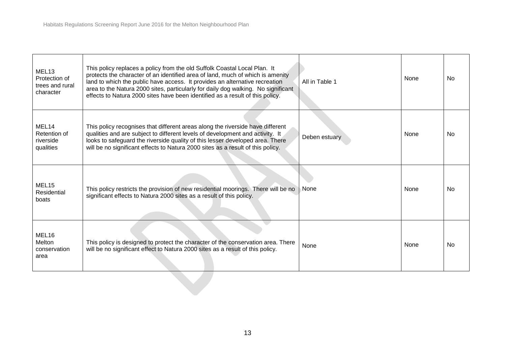| MEL <sub>13</sub><br>Protection of<br>trees and rural<br>character | This policy replaces a policy from the old Suffolk Coastal Local Plan. It<br>protects the character of an identified area of land, much of which is amenity<br>land to which the public have access. It provides an alternative recreation<br>area to the Natura 2000 sites, particularly for daily dog walking. No significant<br>effects to Natura 2000 sites have been identified as a result of this policy. | All in Table 1 | None | <b>No</b> |
|--------------------------------------------------------------------|------------------------------------------------------------------------------------------------------------------------------------------------------------------------------------------------------------------------------------------------------------------------------------------------------------------------------------------------------------------------------------------------------------------|----------------|------|-----------|
| MEL <sub>14</sub><br>Retention of<br>riverside<br>qualities        | This policy recognises that different areas along the riverside have different<br>qualities and are subject to different levels of development and activity. It<br>looks to safeguard the riverside quality of this lesser developed area. There<br>will be no significant effects to Natura 2000 sites as a result of this policy.                                                                              | Deben estuary  | None | <b>No</b> |
| MEL <sub>15</sub><br>Residential<br>boats                          | This policy restricts the provision of new residential moorings. There will be no<br>significant effects to Natura 2000 sites as a result of this policy.                                                                                                                                                                                                                                                        | None           | None | <b>No</b> |
| MEL16<br>Melton<br>conservation<br>area                            | This policy is designed to protect the character of the conservation area. There<br>will be no significant effect to Natura 2000 sites as a result of this policy.                                                                                                                                                                                                                                               | None           | None | <b>No</b> |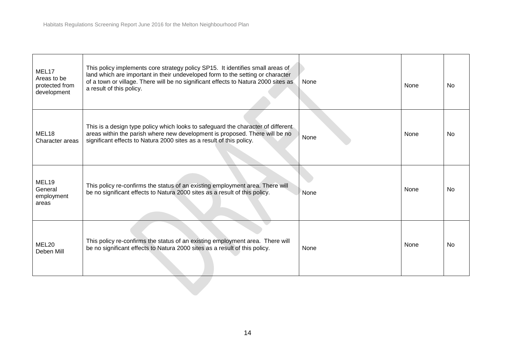| MEL17<br>Areas to be<br>protected from<br>development | This policy implements core strategy policy SP15. It identifies small areas of<br>land which are important in their undeveloped form to the setting or character<br>of a town or village. There will be no significant effects to Natura 2000 sites as<br>a result of this policy. | None | None | No  |
|-------------------------------------------------------|------------------------------------------------------------------------------------------------------------------------------------------------------------------------------------------------------------------------------------------------------------------------------------|------|------|-----|
| MEL18<br>Character areas                              | This is a design type policy which looks to safeguard the character of different<br>areas within the parish where new development is proposed. There will be no<br>significant effects to Natura 2000 sites as a result of this policy.                                            | None | None | No  |
| MEL19<br>General<br>employment<br>areas               | This policy re-confirms the status of an existing employment area. There will<br>be no significant effects to Natura 2000 sites as a result of this policy.                                                                                                                        | None | None | No  |
| MEL20<br>Deben Mill                                   | This policy re-confirms the status of an existing employment area. There will<br>be no significant effects to Natura 2000 sites as a result of this policy.                                                                                                                        | None | None | No. |
|                                                       |                                                                                                                                                                                                                                                                                    |      |      |     |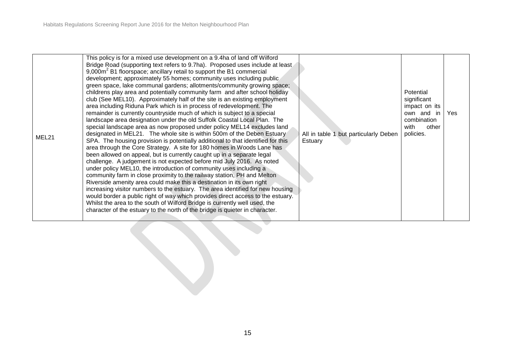|       | This policy is for a mixed use development on a 9.4ha of land off Wilford                                                                                 |                                       |                          |     |
|-------|-----------------------------------------------------------------------------------------------------------------------------------------------------------|---------------------------------------|--------------------------|-----|
|       | Bridge Road (supporting text refers to 9.7ha). Proposed uses include at least                                                                             |                                       |                          |     |
|       | 9,000m <sup>2</sup> B1 floorspace; ancillary retail to support the B1 commercial                                                                          |                                       |                          |     |
|       | development; approximately 55 homes; community uses including public                                                                                      |                                       |                          |     |
|       | green space, lake communal gardens; allotments/community growing space;                                                                                   |                                       |                          |     |
|       | childrens play area and potentially community farm and after school holiday<br>club (See MEL10). Approximately half of the site is an existing employment |                                       | Potential<br>significant |     |
|       | area including Riduna Park which is in process of redevelopment. The                                                                                      |                                       | impact on its            |     |
|       | remainder is currently countryside much of which is subject to a special                                                                                  |                                       | own and<br>-in           | Yes |
|       | landscape area designation under the old Suffolk Coastal Local Plan. The                                                                                  |                                       | combination              |     |
|       | special landscape area as now proposed under policy MEL14 excludes land                                                                                   |                                       | with<br>other            |     |
| MEL21 | designated in MEL21. The whole site is within 500m of the Deben Estuary                                                                                   | All in table 1 but particularly Deben | policies.                |     |
|       | SPA. The housing provision is potentially additional to that identified for this                                                                          | Estuary                               |                          |     |
|       | area through the Core Strategy. A site for 180 homes in Woods Lane has                                                                                    |                                       |                          |     |
|       | been allowed on appeal, but is currently caught up in a separate legal<br>challenge. A judgement is not expected before mid July 2016. As noted           |                                       |                          |     |
|       | under policy MEL10, the introduction of community uses including a                                                                                        |                                       |                          |     |
|       | community farm in close proximity to the railway station, PH and Melton                                                                                   |                                       |                          |     |
|       | Riverside amenity area could make this a destination in its own right                                                                                     |                                       |                          |     |
|       | increasing visitor numbers to the estuary. The area identified for new housing                                                                            |                                       |                          |     |
|       | would border a public right of way which provides direct access to the estuary.                                                                           |                                       |                          |     |
|       | Whilst the area to the south of Wilford Bridge is currently well used, the                                                                                |                                       |                          |     |
|       | character of the estuary to the north of the bridge is quieter in character.                                                                              |                                       |                          |     |
|       |                                                                                                                                                           |                                       |                          |     |